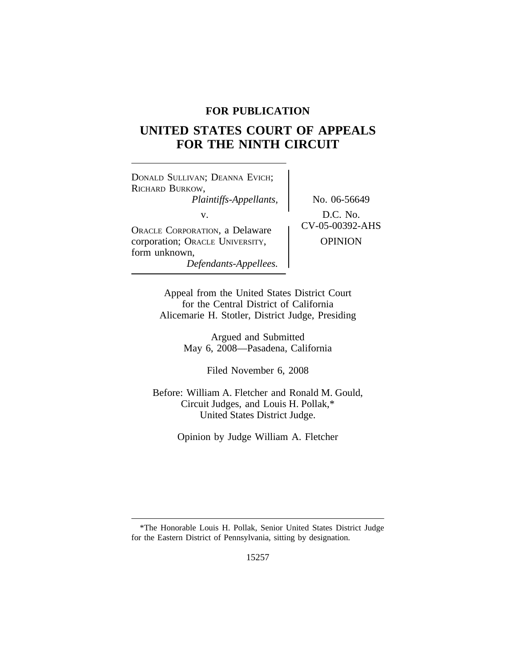# **FOR PUBLICATION**

# **UNITED STATES COURT OF APPEALS FOR THE NINTH CIRCUIT**

<sup>D</sup>ONALD SULLIVAN; DEANNA EVICH; RICHARD BURKOW, *Plaintiffs-Appellants,* No. 06-56649 v.<br>Oracle Corporation, a Delaware CV-05-00392-AHS corporation; ORACLE UNIVERSITY,  $|$  OPINION form unknown, *Defendants-Appellees.*

Appeal from the United States District Court for the Central District of California Alicemarie H. Stotler, District Judge, Presiding

> Argued and Submitted May 6, 2008—Pasadena, California

> > Filed November 6, 2008

Before: William A. Fletcher and Ronald M. Gould, Circuit Judges, and Louis H. Pollak,\* United States District Judge.

Opinion by Judge William A. Fletcher

<sup>\*</sup>The Honorable Louis H. Pollak, Senior United States District Judge for the Eastern District of Pennsylvania, sitting by designation.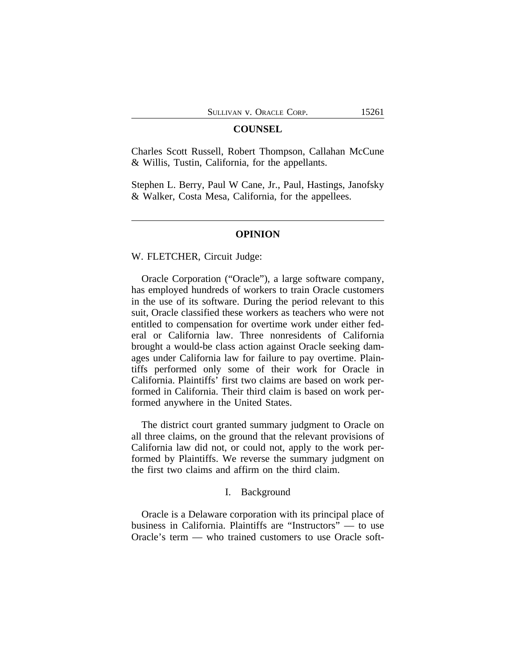#### **COUNSEL**

Charles Scott Russell, Robert Thompson, Callahan McCune & Willis, Tustin, California, for the appellants.

Stephen L. Berry, Paul W Cane, Jr., Paul, Hastings, Janofsky & Walker, Costa Mesa, California, for the appellees.

# **OPINION**

#### W. FLETCHER, Circuit Judge:

Oracle Corporation ("Oracle"), a large software company, has employed hundreds of workers to train Oracle customers in the use of its software. During the period relevant to this suit, Oracle classified these workers as teachers who were not entitled to compensation for overtime work under either federal or California law. Three nonresidents of California brought a would-be class action against Oracle seeking damages under California law for failure to pay overtime. Plaintiffs performed only some of their work for Oracle in California. Plaintiffs' first two claims are based on work performed in California. Their third claim is based on work performed anywhere in the United States.

The district court granted summary judgment to Oracle on all three claims, on the ground that the relevant provisions of California law did not, or could not, apply to the work performed by Plaintiffs. We reverse the summary judgment on the first two claims and affirm on the third claim.

## I. Background

Oracle is a Delaware corporation with its principal place of business in California. Plaintiffs are "Instructors" — to use Oracle's term — who trained customers to use Oracle soft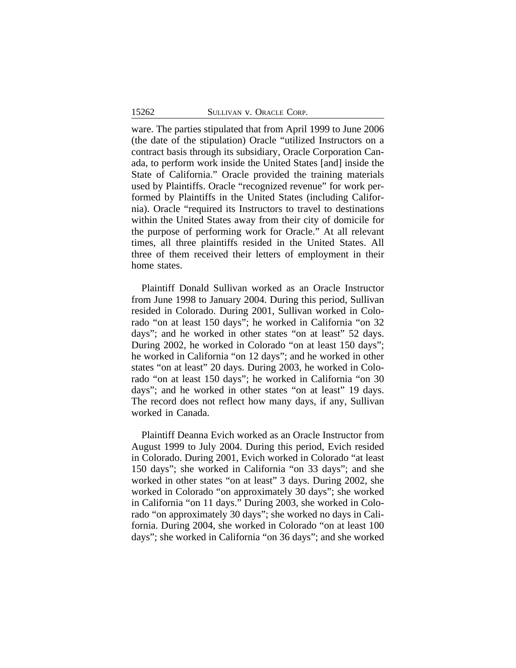ware. The parties stipulated that from April 1999 to June 2006 (the date of the stipulation) Oracle "utilized Instructors on a contract basis through its subsidiary, Oracle Corporation Canada, to perform work inside the United States [and] inside the State of California." Oracle provided the training materials used by Plaintiffs. Oracle "recognized revenue" for work performed by Plaintiffs in the United States (including California). Oracle "required its Instructors to travel to destinations within the United States away from their city of domicile for the purpose of performing work for Oracle." At all relevant times, all three plaintiffs resided in the United States. All three of them received their letters of employment in their home states.

Plaintiff Donald Sullivan worked as an Oracle Instructor from June 1998 to January 2004. During this period, Sullivan resided in Colorado. During 2001, Sullivan worked in Colorado "on at least 150 days"; he worked in California "on 32 days"; and he worked in other states "on at least" 52 days. During 2002, he worked in Colorado "on at least 150 days"; he worked in California "on 12 days"; and he worked in other states "on at least" 20 days. During 2003, he worked in Colorado "on at least 150 days"; he worked in California "on 30 days"; and he worked in other states "on at least" 19 days. The record does not reflect how many days, if any, Sullivan worked in Canada.

Plaintiff Deanna Evich worked as an Oracle Instructor from August 1999 to July 2004. During this period, Evich resided in Colorado. During 2001, Evich worked in Colorado "at least 150 days"; she worked in California "on 33 days"; and she worked in other states "on at least" 3 days. During 2002, she worked in Colorado "on approximately 30 days"; she worked in California "on 11 days." During 2003, she worked in Colorado "on approximately 30 days"; she worked no days in California. During 2004, she worked in Colorado "on at least 100 days"; she worked in California "on 36 days"; and she worked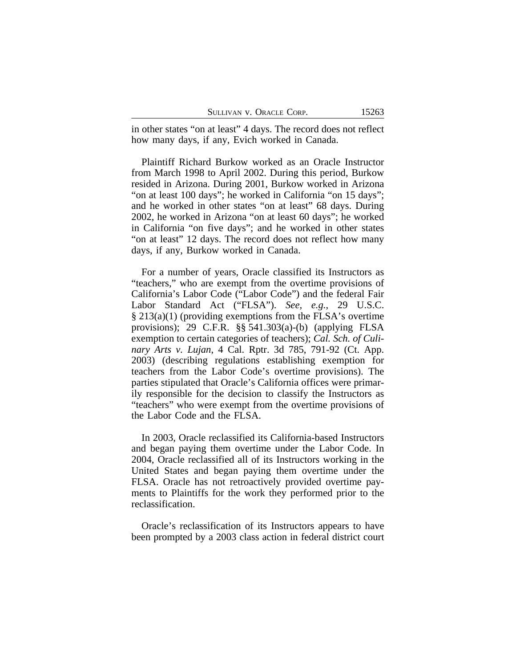in other states "on at least" 4 days. The record does not reflect how many days, if any, Evich worked in Canada.

Plaintiff Richard Burkow worked as an Oracle Instructor from March 1998 to April 2002. During this period, Burkow resided in Arizona. During 2001, Burkow worked in Arizona "on at least 100 days"; he worked in California "on 15 days"; and he worked in other states "on at least" 68 days. During 2002, he worked in Arizona "on at least 60 days"; he worked in California "on five days"; and he worked in other states "on at least" 12 days. The record does not reflect how many days, if any, Burkow worked in Canada.

For a number of years, Oracle classified its Instructors as "teachers," who are exempt from the overtime provisions of California's Labor Code ("Labor Code") and the federal Fair Labor Standard Act ("FLSA"). *See, e.g.*, 29 U.S.C. § 213(a)(1) (providing exemptions from the FLSA's overtime provisions); 29 C.F.R.  $\S$ § 541.303(a)-(b) (applying FLSA exemption to certain categories of teachers); *Cal. Sch. of Culinary Arts v. Lujan*, 4 Cal. Rptr. 3d 785, 791-92 (Ct. App. 2003) (describing regulations establishing exemption for teachers from the Labor Code's overtime provisions). The parties stipulated that Oracle's California offices were primarily responsible for the decision to classify the Instructors as "teachers" who were exempt from the overtime provisions of the Labor Code and the FLSA.

In 2003, Oracle reclassified its California-based Instructors and began paying them overtime under the Labor Code. In 2004, Oracle reclassified all of its Instructors working in the United States and began paying them overtime under the FLSA. Oracle has not retroactively provided overtime payments to Plaintiffs for the work they performed prior to the reclassification.

Oracle's reclassification of its Instructors appears to have been prompted by a 2003 class action in federal district court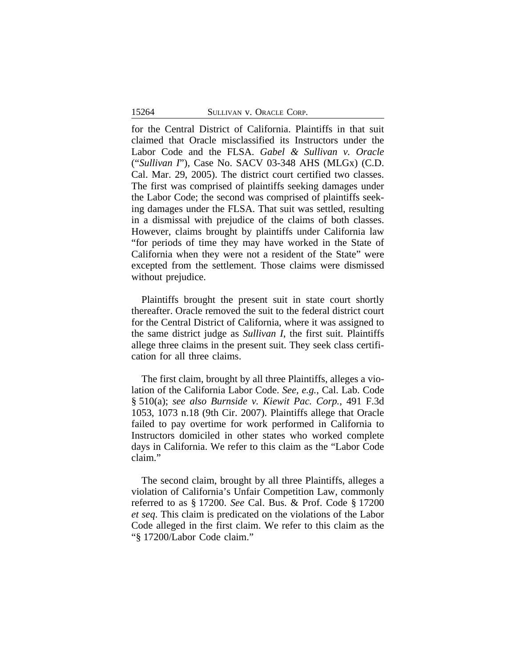for the Central District of California. Plaintiffs in that suit claimed that Oracle misclassified its Instructors under the Labor Code and the FLSA. *Gabel & Sullivan v. Oracle* ("*Sullivan I*"), Case No. SACV 03-348 AHS (MLGx) (C.D. Cal. Mar. 29, 2005). The district court certified two classes. The first was comprised of plaintiffs seeking damages under the Labor Code; the second was comprised of plaintiffs seeking damages under the FLSA. That suit was settled, resulting in a dismissal with prejudice of the claims of both classes. However, claims brought by plaintiffs under California law "for periods of time they may have worked in the State of California when they were not a resident of the State" were excepted from the settlement. Those claims were dismissed without prejudice.

Plaintiffs brought the present suit in state court shortly thereafter. Oracle removed the suit to the federal district court for the Central District of California, where it was assigned to the same district judge as *Sullivan I*, the first suit. Plaintiffs allege three claims in the present suit. They seek class certification for all three claims.

The first claim, brought by all three Plaintiffs, alleges a violation of the California Labor Code. *See, e.g.*, Cal. Lab. Code § 510(a); *see also Burnside v. Kiewit Pac. Corp.*, 491 F.3d 1053, 1073 n.18 (9th Cir. 2007). Plaintiffs allege that Oracle failed to pay overtime for work performed in California to Instructors domiciled in other states who worked complete days in California. We refer to this claim as the "Labor Code claim."

The second claim, brought by all three Plaintiffs, alleges a violation of California's Unfair Competition Law, commonly referred to as § 17200. *See* Cal. Bus. & Prof. Code § 17200 *et seq*. This claim is predicated on the violations of the Labor Code alleged in the first claim. We refer to this claim as the "§ 17200/Labor Code claim."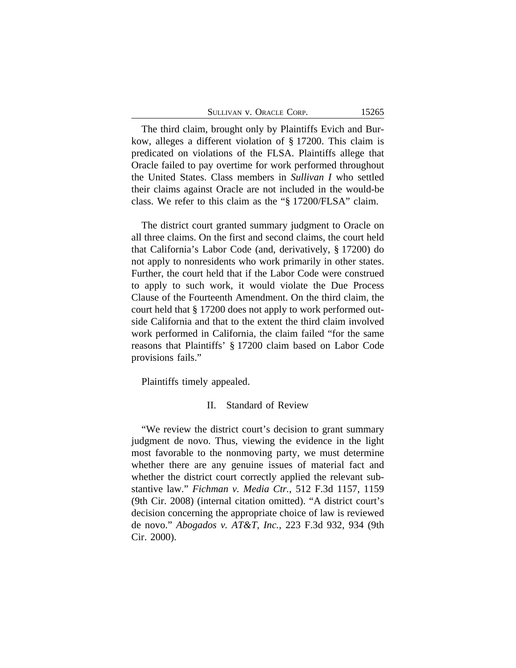| SULLIVAN V. ORACLE CORP. |  |
|--------------------------|--|
|--------------------------|--|

The third claim, brought only by Plaintiffs Evich and Burkow, alleges a different violation of § 17200. This claim is predicated on violations of the FLSA. Plaintiffs allege that Oracle failed to pay overtime for work performed throughout the United States. Class members in *Sullivan I* who settled their claims against Oracle are not included in the would-be class. We refer to this claim as the "§ 17200/FLSA" claim.

The district court granted summary judgment to Oracle on all three claims. On the first and second claims, the court held that California's Labor Code (and, derivatively, § 17200) do not apply to nonresidents who work primarily in other states. Further, the court held that if the Labor Code were construed to apply to such work, it would violate the Due Process Clause of the Fourteenth Amendment. On the third claim, the court held that § 17200 does not apply to work performed outside California and that to the extent the third claim involved work performed in California, the claim failed "for the same reasons that Plaintiffs' § 17200 claim based on Labor Code provisions fails."

Plaintiffs timely appealed.

## II. Standard of Review

"We review the district court's decision to grant summary judgment de novo. Thus, viewing the evidence in the light most favorable to the nonmoving party, we must determine whether there are any genuine issues of material fact and whether the district court correctly applied the relevant substantive law." *Fichman v. Media Ctr.*, 512 F.3d 1157, 1159 (9th Cir. 2008) (internal citation omitted). "A district court's decision concerning the appropriate choice of law is reviewed de novo." *Abogados v. AT&T, Inc.*, 223 F.3d 932, 934 (9th Cir. 2000).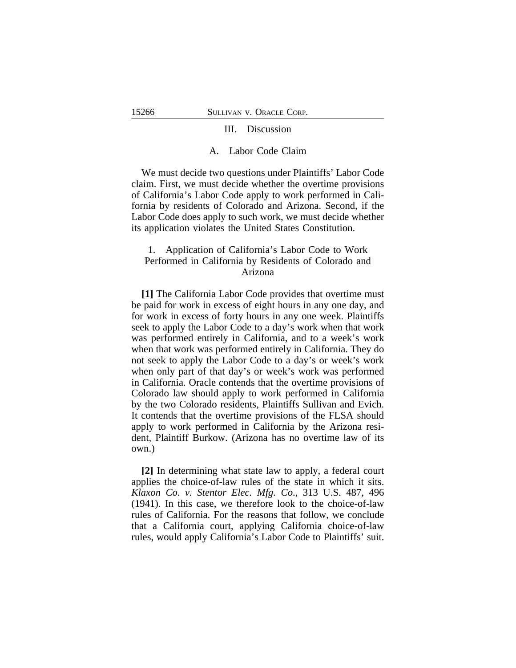#### III. Discussion

#### A. Labor Code Claim

We must decide two questions under Plaintiffs' Labor Code claim. First, we must decide whether the overtime provisions of California's Labor Code apply to work performed in California by residents of Colorado and Arizona. Second, if the Labor Code does apply to such work, we must decide whether its application violates the United States Constitution.

# 1. Application of California's Labor Code to Work Performed in California by Residents of Colorado and Arizona

**[1]** The California Labor Code provides that overtime must be paid for work in excess of eight hours in any one day, and for work in excess of forty hours in any one week. Plaintiffs seek to apply the Labor Code to a day's work when that work was performed entirely in California, and to a week's work when that work was performed entirely in California. They do not seek to apply the Labor Code to a day's or week's work when only part of that day's or week's work was performed in California. Oracle contends that the overtime provisions of Colorado law should apply to work performed in California by the two Colorado residents, Plaintiffs Sullivan and Evich. It contends that the overtime provisions of the FLSA should apply to work performed in California by the Arizona resident, Plaintiff Burkow. (Arizona has no overtime law of its own.)

**[2]** In determining what state law to apply, a federal court applies the choice-of-law rules of the state in which it sits. *Klaxon Co. v. Stentor Elec. Mfg. Co*., 313 U.S. 487, 496 (1941). In this case, we therefore look to the choice-of-law rules of California. For the reasons that follow, we conclude that a California court, applying California choice-of-law rules, would apply California's Labor Code to Plaintiffs' suit.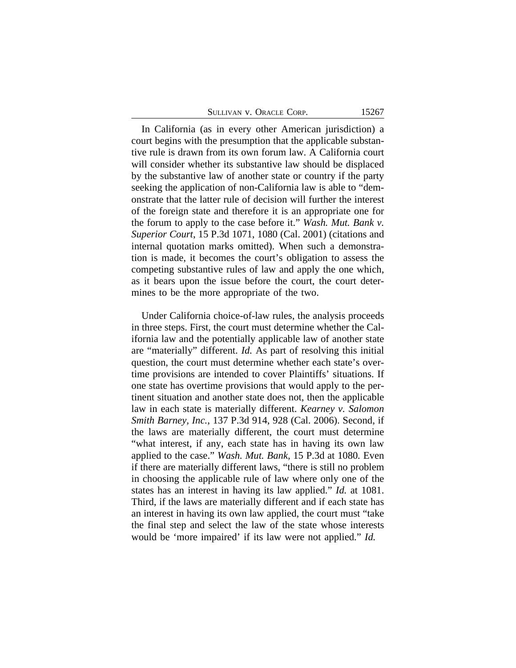In California (as in every other American jurisdiction) a court begins with the presumption that the applicable substantive rule is drawn from its own forum law. A California court will consider whether its substantive law should be displaced by the substantive law of another state or country if the party seeking the application of non-California law is able to "demonstrate that the latter rule of decision will further the interest of the foreign state and therefore it is an appropriate one for the forum to apply to the case before it." *Wash. Mut. Bank v. Superior Court*, 15 P.3d 1071, 1080 (Cal. 2001) (citations and internal quotation marks omitted). When such a demonstration is made, it becomes the court's obligation to assess the competing substantive rules of law and apply the one which, as it bears upon the issue before the court, the court determines to be the more appropriate of the two.

Under California choice-of-law rules, the analysis proceeds in three steps. First, the court must determine whether the California law and the potentially applicable law of another state are "materially" different. *Id.* As part of resolving this initial question, the court must determine whether each state's overtime provisions are intended to cover Plaintiffs' situations. If one state has overtime provisions that would apply to the pertinent situation and another state does not, then the applicable law in each state is materially different. *Kearney v. Salomon Smith Barney, Inc.*, 137 P.3d 914, 928 (Cal. 2006). Second, if the laws are materially different, the court must determine "what interest, if any, each state has in having its own law applied to the case." *Wash. Mut. Bank,* 15 P.3d at 1080*.* Even if there are materially different laws, "there is still no problem in choosing the applicable rule of law where only one of the states has an interest in having its law applied." *Id.* at 1081. Third, if the laws are materially different and if each state has an interest in having its own law applied, the court must "take the final step and select the law of the state whose interests would be 'more impaired' if its law were not applied." *Id.*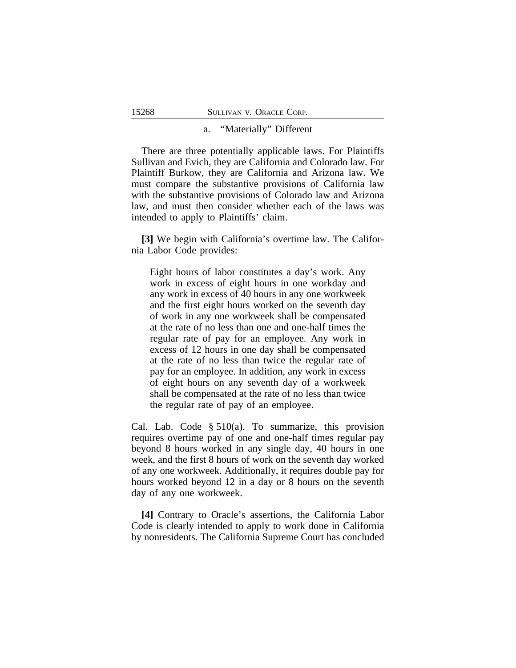#### a. "Materially" Different

There are three potentially applicable laws. For Plaintiffs Sullivan and Evich, they are California and Colorado law. For Plaintiff Burkow, they are California and Arizona law. We must compare the substantive provisions of California law with the substantive provisions of Colorado law and Arizona law, and must then consider whether each of the laws was intended to apply to Plaintiffs' claim.

**[3]** We begin with California's overtime law. The California Labor Code provides:

Eight hours of labor constitutes a day's work. Any work in excess of eight hours in one workday and any work in excess of 40 hours in any one workweek and the first eight hours worked on the seventh day of work in any one workweek shall be compensated at the rate of no less than one and one-half times the regular rate of pay for an employee. Any work in excess of 12 hours in one day shall be compensated at the rate of no less than twice the regular rate of pay for an employee. In addition, any work in excess of eight hours on any seventh day of a workweek shall be compensated at the rate of no less than twice the regular rate of pay of an employee.

Cal. Lab. Code § 510(a). To summarize, this provision requires overtime pay of one and one-half times regular pay beyond 8 hours worked in any single day, 40 hours in one week, and the first 8 hours of work on the seventh day worked of any one workweek. Additionally, it requires double pay for hours worked beyond 12 in a day or 8 hours on the seventh day of any one workweek.

**[4]** Contrary to Oracle's assertions, the California Labor Code is clearly intended to apply to work done in California by nonresidents. The California Supreme Court has concluded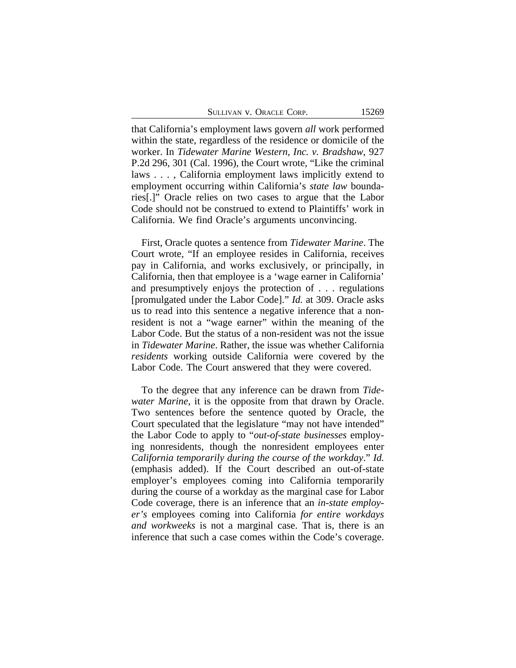SULLIVAN V. ORACLE CORP. 15269

that California's employment laws govern *all* work performed within the state, regardless of the residence or domicile of the worker. In *Tidewater Marine Western, Inc. v. Bradshaw*, 927 P.2d 296, 301 (Cal. 1996), the Court wrote, "Like the criminal laws . . . , California employment laws implicitly extend to employment occurring within California's *state law* boundaries[.]" Oracle relies on two cases to argue that the Labor Code should not be construed to extend to Plaintiffs' work in California. We find Oracle's arguments unconvincing.

First, Oracle quotes a sentence from *Tidewater Marine*. The Court wrote, "If an employee resides in California, receives pay in California, and works exclusively, or principally, in California, then that employee is a 'wage earner in California' and presumptively enjoys the protection of . . . regulations [promulgated under the Labor Code]." *Id.* at 309. Oracle asks us to read into this sentence a negative inference that a nonresident is not a "wage earner" within the meaning of the Labor Code. But the status of a non-resident was not the issue in *Tidewater Marine*. Rather, the issue was whether California *residents* working outside California were covered by the Labor Code. The Court answered that they were covered.

To the degree that any inference can be drawn from *Tidewater Marine*, it is the opposite from that drawn by Oracle. Two sentences before the sentence quoted by Oracle, the Court speculated that the legislature "may not have intended" the Labor Code to apply to "*out-of-state businesses* employing nonresidents, though the nonresident employees enter *California temporarily during the course of the workday*." *Id.* (emphasis added). If the Court described an out-of-state employer's employees coming into California temporarily during the course of a workday as the marginal case for Labor Code coverage, there is an inference that an *in-state employer's* employees coming into California *for entire workdays and workweeks* is not a marginal case. That is, there is an inference that such a case comes within the Code's coverage.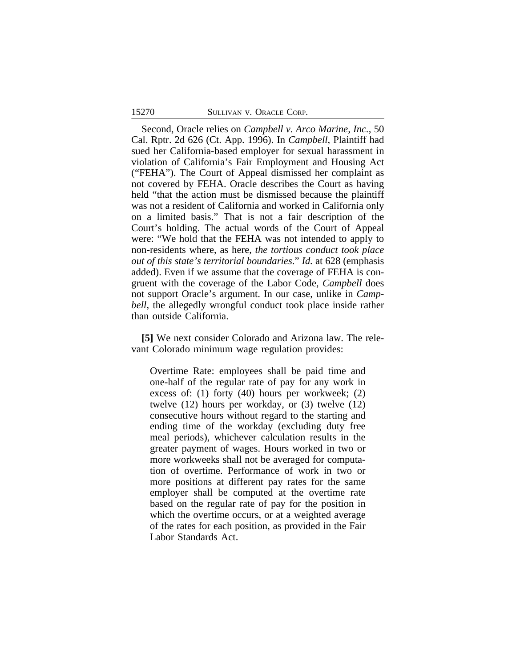#### 15270 SULLIVAN v. ORACLE CORP.

Second, Oracle relies on *Campbell v. Arco Marine, Inc.*, 50 Cal. Rptr. 2d 626 (Ct. App. 1996). In *Campbell*, Plaintiff had sued her California-based employer for sexual harassment in violation of California's Fair Employment and Housing Act ("FEHA"). The Court of Appeal dismissed her complaint as not covered by FEHA. Oracle describes the Court as having held "that the action must be dismissed because the plaintiff was not a resident of California and worked in California only on a limited basis." That is not a fair description of the Court's holding. The actual words of the Court of Appeal were: "We hold that the FEHA was not intended to apply to non-residents where, as here, *the tortious conduct took place out of this state's territorial boundaries*." *Id.* at 628 (emphasis added). Even if we assume that the coverage of FEHA is congruent with the coverage of the Labor Code, *Campbell* does not support Oracle's argument. In our case, unlike in *Campbell*, the allegedly wrongful conduct took place inside rather than outside California.

**[5]** We next consider Colorado and Arizona law. The relevant Colorado minimum wage regulation provides:

Overtime Rate: employees shall be paid time and one-half of the regular rate of pay for any work in excess of: (1) forty (40) hours per workweek; (2) twelve (12) hours per workday, or (3) twelve (12) consecutive hours without regard to the starting and ending time of the workday (excluding duty free meal periods), whichever calculation results in the greater payment of wages. Hours worked in two or more workweeks shall not be averaged for computation of overtime. Performance of work in two or more positions at different pay rates for the same employer shall be computed at the overtime rate based on the regular rate of pay for the position in which the overtime occurs, or at a weighted average of the rates for each position, as provided in the Fair Labor Standards Act.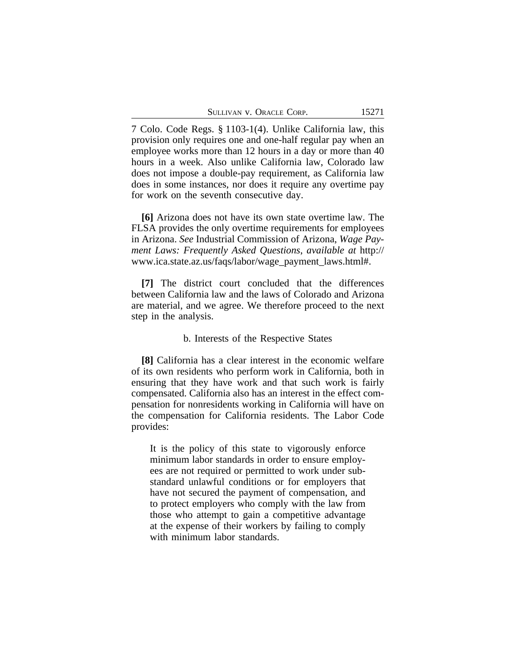|  | SULLIVAN V. ORACLE CORP. |  |  |  |
|--|--------------------------|--|--|--|
|--|--------------------------|--|--|--|

7 Colo. Code Regs. § 1103-1(4). Unlike California law, this provision only requires one and one-half regular pay when an employee works more than 12 hours in a day or more than 40 hours in a week. Also unlike California law, Colorado law does not impose a double-pay requirement, as California law does in some instances, nor does it require any overtime pay for work on the seventh consecutive day.

**[6]** Arizona does not have its own state overtime law. The FLSA provides the only overtime requirements for employees in Arizona. *See* Industrial Commission of Arizona, *Wage Payment Laws: Frequently Asked Questions*, *available at* http:// www.ica.state.az.us/faqs/labor/wage\_payment\_laws.html#.

**[7]** The district court concluded that the differences between California law and the laws of Colorado and Arizona are material, and we agree. We therefore proceed to the next step in the analysis.

## b. Interests of the Respective States

**[8]** California has a clear interest in the economic welfare of its own residents who perform work in California, both in ensuring that they have work and that such work is fairly compensated. California also has an interest in the effect compensation for nonresidents working in California will have on the compensation for California residents. The Labor Code provides:

It is the policy of this state to vigorously enforce minimum labor standards in order to ensure employees are not required or permitted to work under substandard unlawful conditions or for employers that have not secured the payment of compensation, and to protect employers who comply with the law from those who attempt to gain a competitive advantage at the expense of their workers by failing to comply with minimum labor standards.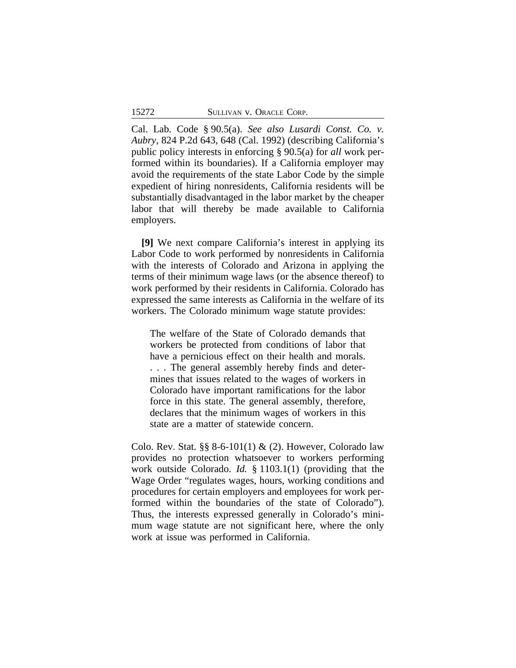Cal. Lab. Code § 90.5(a). *See also Lusardi Const. Co. v. Aubry*, 824 P.2d 643, 648 (Cal. 1992) (describing California's public policy interests in enforcing § 90.5(a) for *all* work performed within its boundaries). If a California employer may avoid the requirements of the state Labor Code by the simple expedient of hiring nonresidents, California residents will be substantially disadvantaged in the labor market by the cheaper labor that will thereby be made available to California employers.

**[9]** We next compare California's interest in applying its Labor Code to work performed by nonresidents in California with the interests of Colorado and Arizona in applying the terms of their minimum wage laws (or the absence thereof) to work performed by their residents in California. Colorado has expressed the same interests as California in the welfare of its workers. The Colorado minimum wage statute provides:

The welfare of the State of Colorado demands that workers be protected from conditions of labor that have a pernicious effect on their health and morals. . . . The general assembly hereby finds and determines that issues related to the wages of workers in Colorado have important ramifications for the labor force in this state. The general assembly, therefore, declares that the minimum wages of workers in this state are a matter of statewide concern.

Colo. Rev. Stat. §§ 8-6-101(1)  $\&$  (2). However, Colorado law provides no protection whatsoever to workers performing work outside Colorado. *Id.* § 1103.1(1) (providing that the Wage Order "regulates wages, hours, working conditions and procedures for certain employers and employees for work performed within the boundaries of the state of Colorado"). Thus, the interests expressed generally in Colorado's minimum wage statute are not significant here, where the only work at issue was performed in California.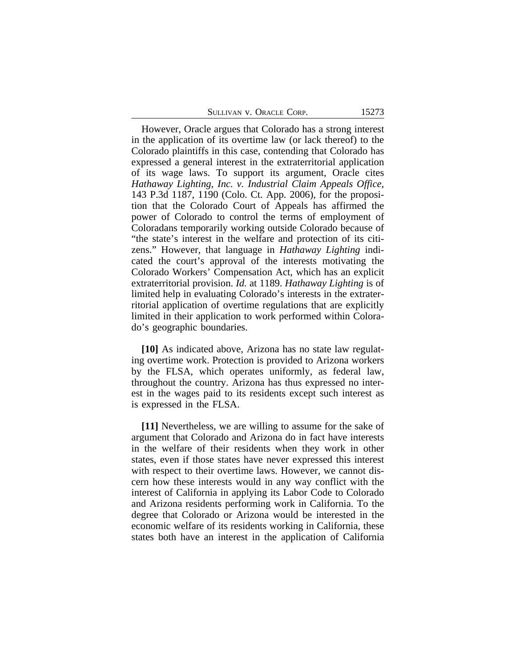| SULLIVAN V. ORACLE CORP. |  |  |  |  |
|--------------------------|--|--|--|--|
|--------------------------|--|--|--|--|

However, Oracle argues that Colorado has a strong interest in the application of its overtime law (or lack thereof) to the Colorado plaintiffs in this case, contending that Colorado has expressed a general interest in the extraterritorial application of its wage laws. To support its argument, Oracle cites *Hathaway Lighting, Inc. v. Industrial Claim Appeals Office*, 143 P.3d 1187, 1190 (Colo. Ct. App. 2006), for the proposition that the Colorado Court of Appeals has affirmed the power of Colorado to control the terms of employment of Coloradans temporarily working outside Colorado because of "the state's interest in the welfare and protection of its citizens." However, that language in *Hathaway Lighting* indicated the court's approval of the interests motivating the Colorado Workers' Compensation Act, which has an explicit extraterritorial provision. *Id.* at 1189. *Hathaway Lighting* is of limited help in evaluating Colorado's interests in the extraterritorial application of overtime regulations that are explicitly limited in their application to work performed within Colorado's geographic boundaries.

**[10]** As indicated above, Arizona has no state law regulating overtime work. Protection is provided to Arizona workers by the FLSA, which operates uniformly, as federal law, throughout the country. Arizona has thus expressed no interest in the wages paid to its residents except such interest as is expressed in the FLSA.

**[11]** Nevertheless, we are willing to assume for the sake of argument that Colorado and Arizona do in fact have interests in the welfare of their residents when they work in other states, even if those states have never expressed this interest with respect to their overtime laws. However, we cannot discern how these interests would in any way conflict with the interest of California in applying its Labor Code to Colorado and Arizona residents performing work in California. To the degree that Colorado or Arizona would be interested in the economic welfare of its residents working in California, these states both have an interest in the application of California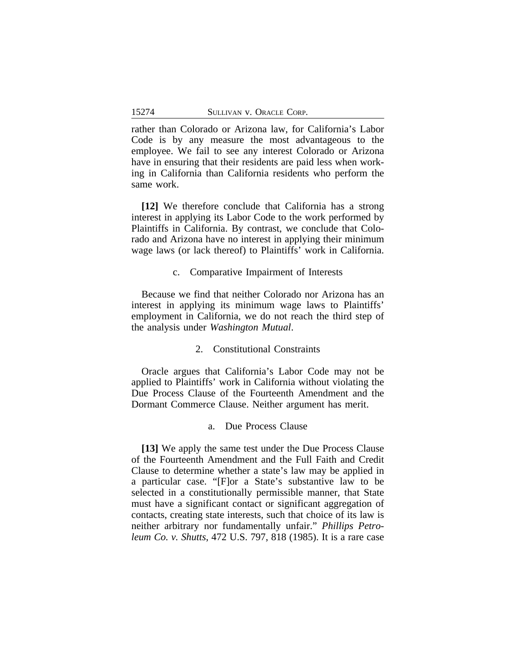rather than Colorado or Arizona law, for California's Labor Code is by any measure the most advantageous to the employee. We fail to see any interest Colorado or Arizona have in ensuring that their residents are paid less when working in California than California residents who perform the same work.

**[12]** We therefore conclude that California has a strong interest in applying its Labor Code to the work performed by Plaintiffs in California. By contrast, we conclude that Colorado and Arizona have no interest in applying their minimum wage laws (or lack thereof) to Plaintiffs' work in California.

## c. Comparative Impairment of Interests

Because we find that neither Colorado nor Arizona has an interest in applying its minimum wage laws to Plaintiffs' employment in California, we do not reach the third step of the analysis under *Washington Mutual*.

## 2. Constitutional Constraints

Oracle argues that California's Labor Code may not be applied to Plaintiffs' work in California without violating the Due Process Clause of the Fourteenth Amendment and the Dormant Commerce Clause. Neither argument has merit.

# a. Due Process Clause

**[13]** We apply the same test under the Due Process Clause of the Fourteenth Amendment and the Full Faith and Credit Clause to determine whether a state's law may be applied in a particular case. "[F]or a State's substantive law to be selected in a constitutionally permissible manner, that State must have a significant contact or significant aggregation of contacts, creating state interests, such that choice of its law is neither arbitrary nor fundamentally unfair." *Phillips Petroleum Co. v. Shutts*, 472 U.S. 797, 818 (1985). It is a rare case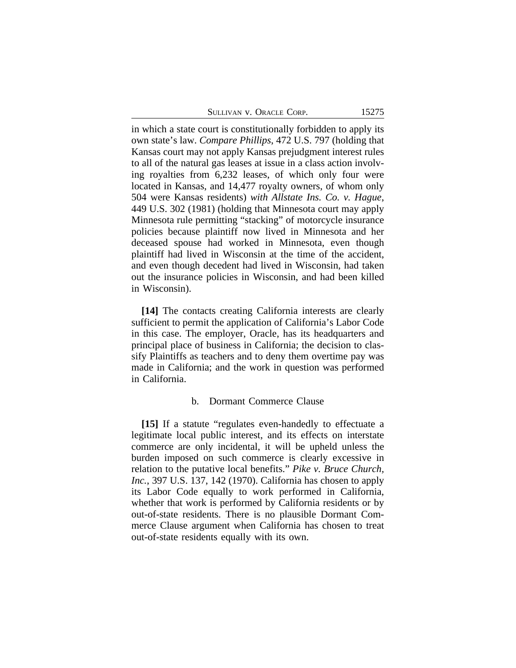SULLIVAN V. ORACLE CORP. 15275

in which a state court is constitutionally forbidden to apply its own state's law. *Compare Phillips*, 472 U.S. 797 (holding that Kansas court may not apply Kansas prejudgment interest rules to all of the natural gas leases at issue in a class action involving royalties from 6,232 leases, of which only four were located in Kansas, and 14,477 royalty owners, of whom only 504 were Kansas residents) *with Allstate Ins. Co. v. Hague*, 449 U.S. 302 (1981) (holding that Minnesota court may apply Minnesota rule permitting "stacking" of motorcycle insurance policies because plaintiff now lived in Minnesota and her deceased spouse had worked in Minnesota, even though plaintiff had lived in Wisconsin at the time of the accident, and even though decedent had lived in Wisconsin, had taken out the insurance policies in Wisconsin, and had been killed in Wisconsin).

**[14]** The contacts creating California interests are clearly sufficient to permit the application of California's Labor Code in this case. The employer, Oracle, has its headquarters and principal place of business in California; the decision to classify Plaintiffs as teachers and to deny them overtime pay was made in California; and the work in question was performed in California.

#### b. Dormant Commerce Clause

**[15]** If a statute "regulates even-handedly to effectuate a legitimate local public interest, and its effects on interstate commerce are only incidental, it will be upheld unless the burden imposed on such commerce is clearly excessive in relation to the putative local benefits." *Pike v. Bruce Church, Inc.*, 397 U.S. 137, 142 (1970). California has chosen to apply its Labor Code equally to work performed in California, whether that work is performed by California residents or by out-of-state residents. There is no plausible Dormant Commerce Clause argument when California has chosen to treat out-of-state residents equally with its own.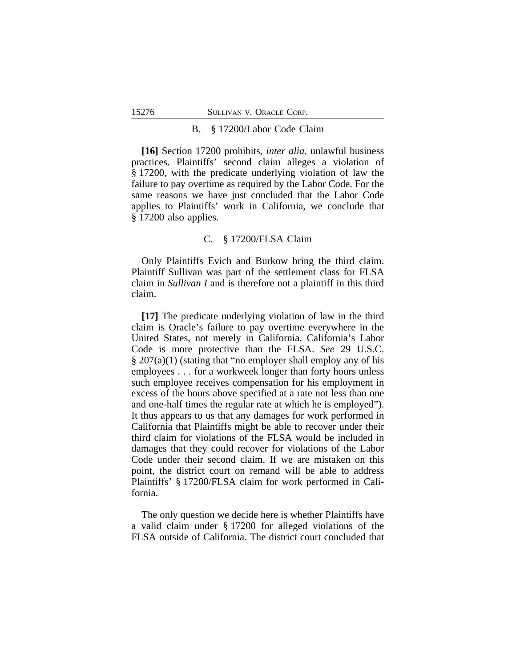#### B. § 17200/Labor Code Claim

**[16]** Section 17200 prohibits, *inter alia*, unlawful business practices. Plaintiffs' second claim alleges a violation of § 17200, with the predicate underlying violation of law the failure to pay overtime as required by the Labor Code. For the same reasons we have just concluded that the Labor Code applies to Plaintiffs' work in California, we conclude that § 17200 also applies.

## C. § 17200/FLSA Claim

Only Plaintiffs Evich and Burkow bring the third claim. Plaintiff Sullivan was part of the settlement class for FLSA claim in *Sullivan I* and is therefore not a plaintiff in this third claim.

**[17]** The predicate underlying violation of law in the third claim is Oracle's failure to pay overtime everywhere in the United States, not merely in California. California's Labor Code is more protective than the FLSA. *See* 29 U.S.C. § 207(a)(1) (stating that "no employer shall employ any of his employees . . . for a workweek longer than forty hours unless such employee receives compensation for his employment in excess of the hours above specified at a rate not less than one and one-half times the regular rate at which he is employed"). It thus appears to us that any damages for work performed in California that Plaintiffs might be able to recover under their third claim for violations of the FLSA would be included in damages that they could recover for violations of the Labor Code under their second claim. If we are mistaken on this point, the district court on remand will be able to address Plaintiffs' § 17200/FLSA claim for work performed in California.

The only question we decide here is whether Plaintiffs have a valid claim under § 17200 for alleged violations of the FLSA outside of California. The district court concluded that